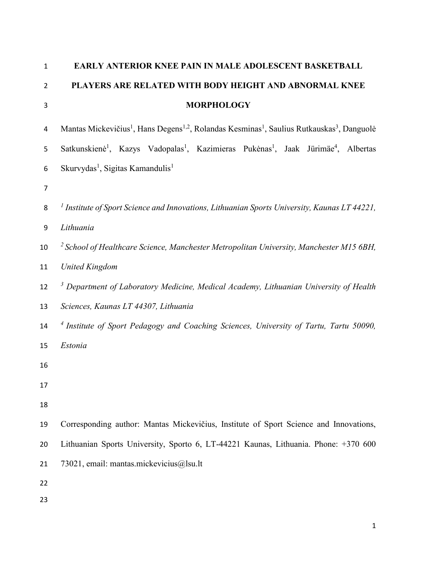| $\mathbf 1$      | EARLY ANTERIOR KNEE PAIN IN MALE ADOLESCENT BASKETBALL                                                                                     |
|------------------|--------------------------------------------------------------------------------------------------------------------------------------------|
| $\overline{2}$   | PLAYERS ARE RELATED WITH BODY HEIGHT AND ABNORMAL KNEE                                                                                     |
| 3                | <b>MORPHOLOGY</b>                                                                                                                          |
| 4                | Mantas Mickevičius <sup>1</sup> , Hans Degens <sup>1,2</sup> , Rolandas Kesminas <sup>1</sup> , Saulius Rutkauskas <sup>3</sup> , Danguolė |
| 5                | Satkunskienė <sup>1</sup> , Kazys Vadopalas <sup>1</sup> , Kazimieras Pukėnas <sup>1</sup> , Jaak Jürimäe <sup>4</sup> , Albertas          |
| 6                | Skurvydas <sup>1</sup> , Sigitas Kamandulis <sup>1</sup>                                                                                   |
| $\overline{7}$   |                                                                                                                                            |
| 8                | <sup>1</sup> Institute of Sport Science and Innovations, Lithuanian Sports University, Kaunas LT 44221,                                    |
| $\boldsymbol{9}$ | Lithuania                                                                                                                                  |
| 10               | $\frac{2}{3}$ School of Healthcare Science, Manchester Metropolitan University, Manchester M15 6BH,                                        |
| 11               | <b>United Kingdom</b>                                                                                                                      |
| 12               | <sup>3</sup> Department of Laboratory Medicine, Medical Academy, Lithuanian University of Health                                           |
| 13               | Sciences, Kaunas LT 44307, Lithuania                                                                                                       |
| 14               | <sup>4</sup> Institute of Sport Pedagogy and Coaching Sciences, University of Tartu, Tartu 50090,                                          |
| 15               | Estonia                                                                                                                                    |
| 16               |                                                                                                                                            |
| 17               |                                                                                                                                            |
| 18               |                                                                                                                                            |
| 19               | Corresponding author: Mantas Mickevičius, Institute of Sport Science and Innovations,                                                      |
| 20               | Lithuanian Sports University, Sporto 6, LT-44221 Kaunas, Lithuania. Phone: +370 600                                                        |
| 21               | 73021, email: mantas.mickevicius@lsu.lt                                                                                                    |
| 22               |                                                                                                                                            |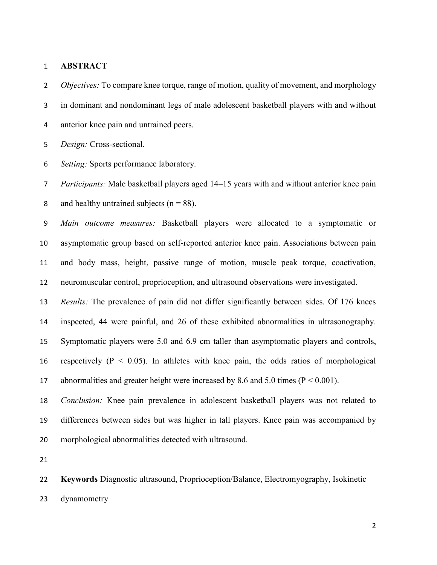#### **ABSTRACT**

 *Objectives:* To compare knee torque, range of motion, quality of movement, and morphology in dominant and nondominant legs of male adolescent basketball players with and without anterior knee pain and untrained peers.

*Design:* Cross-sectional.

*Setting:* Sports performance laboratory.

 *Participants:* Male basketball players aged 14–15 years with and without anterior knee pain 8 and healthy untrained subjects ( $n = 88$ ).

 *Main outcome measures:* Basketball players were allocated to a symptomatic or asymptomatic group based on self-reported anterior knee pain. Associations between pain and body mass, height, passive range of motion, muscle peak torque, coactivation, neuromuscular control, proprioception, and ultrasound observations were investigated.

 *Results:* The prevalence of pain did not differ significantly between sides. Of 176 knees inspected, 44 were painful, and 26 of these exhibited abnormalities in ultrasonography. Symptomatic players were 5.0 and 6.9 cm taller than asymptomatic players and controls, 16 respectively  $(P < 0.05)$ . In athletes with knee pain, the odds ratios of morphological abnormalities and greater height were increased by 8.6 and 5.0 times (P < 0.001).

 *Conclusion:* Knee pain prevalence in adolescent basketball players was not related to differences between sides but was higher in tall players. Knee pain was accompanied by morphological abnormalities detected with ultrasound.

 **Keywords** Diagnostic ultrasound, Proprioception/Balance, Electromyography, Isokinetic dynamometry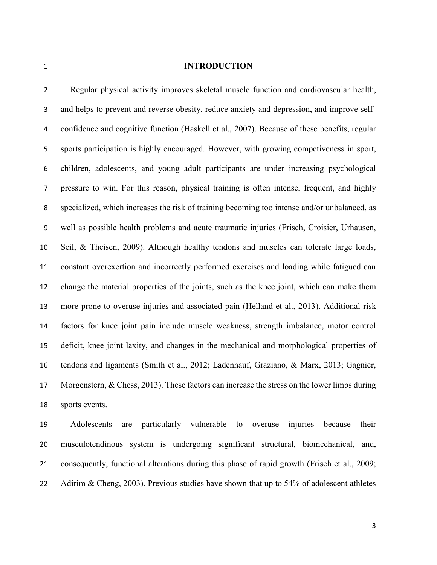### **INTRODUCTION**

 Regular physical activity improves skeletal muscle function and cardiovascular health, and helps to prevent and reverse obesity, reduce anxiety and depression, and improve self- confidence and cognitive function (Haskell et al., 2007). Because of these benefits, regular sports participation is highly encouraged. However, with growing competiveness in sport, children, adolescents, and young adult participants are under increasing psychological pressure to win. For this reason, physical training is often intense, frequent, and highly specialized, which increases the risk of training becoming too intense and/or unbalanced, as 9 well as possible health problems and acute traumatic injuries (Frisch, Croisier, Urhausen, Seil, & Theisen, 2009). Although healthy tendons and muscles can tolerate large loads, constant overexertion and incorrectly performed exercises and loading while fatigued can change the material properties of the joints, such as the knee joint, which can make them more prone to overuse injuries and associated pain (Helland et al., 2013). Additional risk factors for knee joint pain include muscle weakness, strength imbalance, motor control deficit, knee joint laxity, and changes in the mechanical and morphological properties of tendons and ligaments (Smith et al., 2012; Ladenhauf, Graziano, & Marx, 2013; Gagnier, Morgenstern, & Chess, 2013). These factors can increase the stress on the lower limbs during sports events.

 Adolescents are particularly vulnerable to overuse injuries because their musculotendinous system is undergoing significant structural, biomechanical, and, consequently, functional alterations during this phase of rapid growth (Frisch et al., 2009; 22 Adirim & Cheng, 2003). Previous studies have shown that up to 54% of adolescent athletes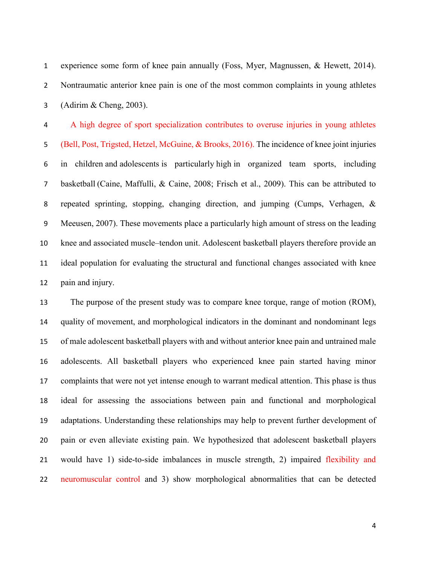experience some form of knee pain annually (Foss, Myer, Magnussen, & Hewett, 2014). Nontraumatic anterior knee pain is one of the most common complaints in young athletes (Adirim & Cheng, 2003).

 A high degree of sport specialization contributes to overuse injuries in young athletes (Bell, Post, Trigsted, Hetzel, McGuine, & Brooks, 2016). The incidence of knee joint injuries in children and adolescents is particularly high in organized team sports, including basketball (Caine, Maffulli, & Caine, 2008; Frisch et al., 2009). This can be attributed to repeated sprinting, stopping, changing direction, and jumping (Cumps, Verhagen, & Meeusen, 2007). These movements place a particularly high amount of stress on the leading knee and associated muscle–tendon unit. Adolescent basketball players therefore provide an ideal population for evaluating the structural and functional changes associated with knee pain and injury.

 The purpose of the present study was to compare knee torque, range of motion (ROM), quality of movement, and morphological indicators in the dominant and nondominant legs of male adolescent basketball players with and without anterior knee pain and untrained male adolescents. All basketball players who experienced knee pain started having minor complaints that were not yet intense enough to warrant medical attention. This phase is thus ideal for assessing the associations between pain and functional and morphological adaptations. Understanding these relationships may help to prevent further development of pain or even alleviate existing pain. We hypothesized that adolescent basketball players would have 1) side-to-side imbalances in muscle strength, 2) impaired flexibility and neuromuscular control and 3) show morphological abnormalities that can be detected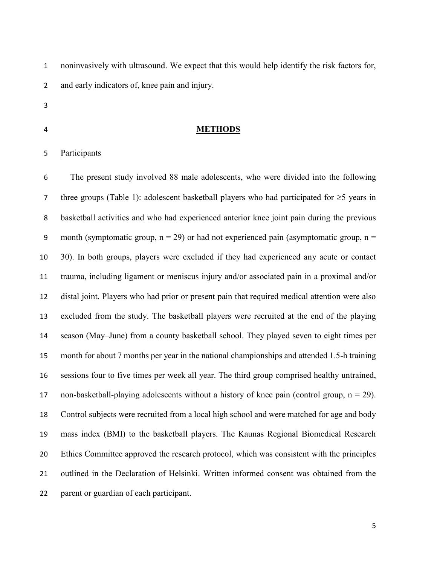noninvasively with ultrasound. We expect that this would help identify the risk factors for, and early indicators of, knee pain and injury.

- 
- 

## **METHODS**

## Participants

 The present study involved 88 male adolescents, who were divided into the following 7 three groups (Table 1): adolescent basketball players who had participated for  $\geq$ 5 years in basketball activities and who had experienced anterior knee joint pain during the previous 9 month (symptomatic group,  $n = 29$ ) or had not experienced pain (asymptomatic group,  $n =$  30). In both groups, players were excluded if they had experienced any acute or contact trauma, including ligament or meniscus injury and/or associated pain in a proximal and/or distal joint. Players who had prior or present pain that required medical attention were also excluded from the study. The basketball players were recruited at the end of the playing season (May–June) from a county basketball school. They played seven to eight times per month for about 7 months per year in the national championships and attended 1.5-h training sessions four to five times per week all year. The third group comprised healthy untrained, 17 non-basketball-playing adolescents without a history of knee pain (control group,  $n = 29$ ). Control subjects were recruited from a local high school and were matched for age and body mass index (BMI) to the basketball players. The Kaunas Regional Biomedical Research Ethics Committee approved the research protocol, which was consistent with the principles outlined in the Declaration of Helsinki. Written informed consent was obtained from the parent or guardian of each participant.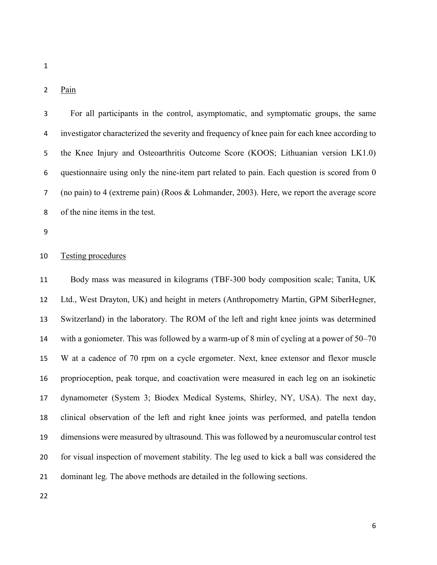# 2 Pain

 For all participants in the control, asymptomatic, and symptomatic groups, the same investigator characterized the severity and frequency of knee pain for each knee according to the Knee Injury and Osteoarthritis Outcome Score (KOOS; Lithuanian version LK1.0) questionnaire using only the nine-item part related to pain. Each question is scored from 0 (no pain) to 4 (extreme pain) (Roos & Lohmander, 2003). Here, we report the average score of the nine items in the test.

# Testing procedures

 Body mass was measured in kilograms (TBF-300 body composition scale; Tanita, UK Ltd., West Drayton, UK) and height in meters (Anthropometry Martin, GPM SiberHegner, Switzerland) in the laboratory. The ROM of the left and right knee joints was determined with a goniometer. This was followed by a warm-up of 8 min of cycling at a power of 50–70 W at a cadence of 70 rpm on a cycle ergometer. Next, knee extensor and flexor muscle proprioception, peak torque, and coactivation were measured in each leg on an isokinetic dynamometer (System 3; Biodex Medical Systems, Shirley, NY, USA). The next day, clinical observation of the left and right knee joints was performed, and patella tendon dimensions were measured by ultrasound. This was followed by a neuromuscular control test for visual inspection of movement stability. The leg used to kick a ball was considered the dominant leg. The above methods are detailed in the following sections.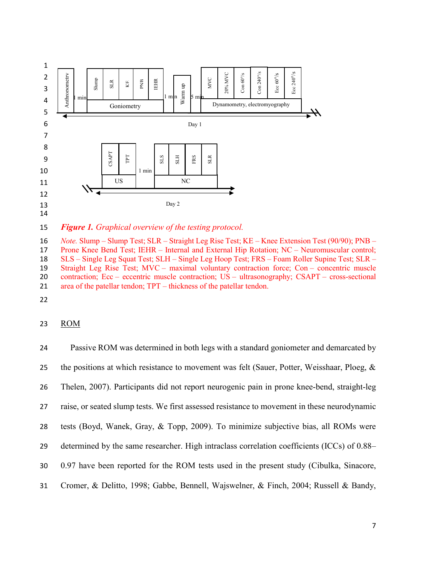

15 *Figure 1. Graphical overview of the testing protocol.*

 *Note.* Slump – Slump Test; SLR – Straight Leg Rise Test; KE – Knee Extension Test (90/90); PNB – Prone Knee Bend Test; IEHR – Internal and External Hip Rotation; NC – Neuromuscular control; SLS – Single Leg Squat Test; SLH – Single Leg Hoop Test; FRS – Foam Roller Supine Test; SLR – Straight Leg Rise Test; MVC – maximal voluntary contraction force; Con – concentric muscle contraction; Ecc – eccentric muscle contraction; US – ultrasonography; CSAPT – cross-sectional area of the patellar tendon; TPT – thickness of the patellar tendon.

22

## 23 ROM

 Passive ROM was determined in both legs with a standard goniometer and demarcated by 25 the positions at which resistance to movement was felt (Sauer, Potter, Weisshaar, Ploeg,  $\&$  Thelen, 2007). Participants did not report neurogenic pain in prone knee-bend, straight-leg raise, or seated slump tests. We first assessed resistance to movement in these neurodynamic tests (Boyd, Wanek, Gray, & Topp, 2009). To minimize subjective bias, all ROMs were determined by the same researcher. High intraclass correlation coefficients (ICCs) of 0.88– 0.97 have been reported for the ROM tests used in the present study (Cibulka, Sinacore, Cromer, & Delitto, 1998; Gabbe, Bennell, Wajswelner, & Finch, 2004; Russell & Bandy,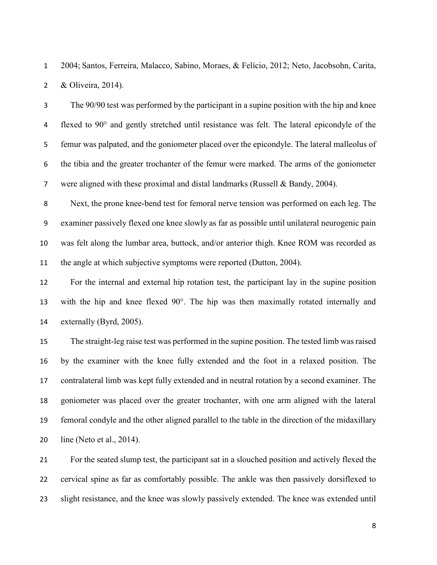2004; Santos, Ferreira, Malacco, Sabino, Moraes, & Felício, 2012; Neto, Jacobsohn, Carita, & Oliveira, 2014).

 The 90/90 test was performed by the participant in a supine position with the hip and knee flexed to 90° and gently stretched until resistance was felt. The lateral epicondyle of the femur was palpated, and the goniometer placed over the epicondyle. The lateral malleolus of the tibia and the greater trochanter of the femur were marked. The arms of the goniometer were aligned with these proximal and distal landmarks (Russell & Bandy, 2004).

 Next, the prone knee-bend test for femoral nerve tension was performed on each leg. The examiner passively flexed one knee slowly as far as possible until unilateral neurogenic pain was felt along the lumbar area, buttock, and/or anterior thigh. Knee ROM was recorded as the angle at which subjective symptoms were reported (Dutton, 2004).

 For the internal and external hip rotation test, the participant lay in the supine position with the hip and knee flexed 90°. The hip was then maximally rotated internally and externally (Byrd, 2005).

 The straight-leg raise test was performed in the supine position. The tested limb was raised by the examiner with the knee fully extended and the foot in a relaxed position. The contralateral limb was kept fully extended and in neutral rotation by a second examiner. The goniometer was placed over the greater trochanter, with one arm aligned with the lateral femoral condyle and the other aligned parallel to the table in the direction of the midaxillary line (Neto et al., 2014).

 For the seated slump test, the participant sat in a slouched position and actively flexed the cervical spine as far as comfortably possible. The ankle was then passively dorsiflexed to slight resistance, and the knee was slowly passively extended. The knee was extended until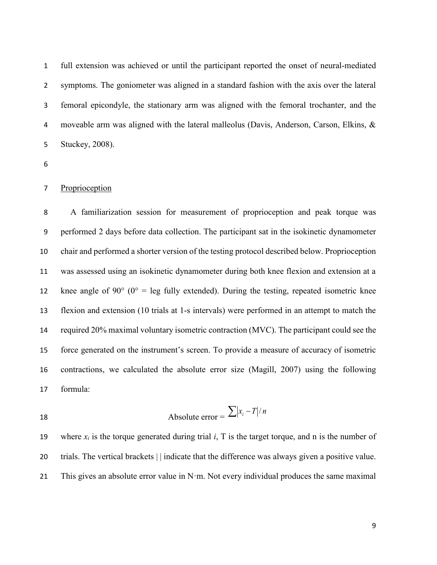full extension was achieved or until the participant reported the onset of neural-mediated symptoms. The goniometer was aligned in a standard fashion with the axis over the lateral femoral epicondyle, the stationary arm was aligned with the femoral trochanter, and the moveable arm was aligned with the lateral malleolus (Davis, Anderson, Carson, Elkins, & Stuckey, 2008).

# Proprioception

 A familiarization session for measurement of proprioception and peak torque was performed 2 days before data collection. The participant sat in the isokinetic dynamometer chair and performed a shorter version of the testing protocol described below. Proprioception was assessed using an isokinetic dynamometer during both knee flexion and extension at a 12 knee angle of 90 $\degree$  (0 $\degree$  = leg fully extended). During the testing, repeated isometric knee flexion and extension (10 trials at 1-s intervals) were performed in an attempt to match the required 20% maximal voluntary isometric contraction (MVC). The participant could see the force generated on the instrument's screen. To provide a measure of accuracy of isometric contractions, we calculated the absolute error size (Magill, 2007) using the following formula:

 Absolute error = *<sup>x</sup> <sup>T</sup> <sup>n</sup> <sup>i</sup>* /

19 where  $x_i$  is the torque generated during trial  $i$ , T is the target torque, and n is the number of trials. The vertical brackets | | indicate that the difference was always given a positive value. 21 This gives an absolute error value in  $N \cdot m$ . Not every individual produces the same maximal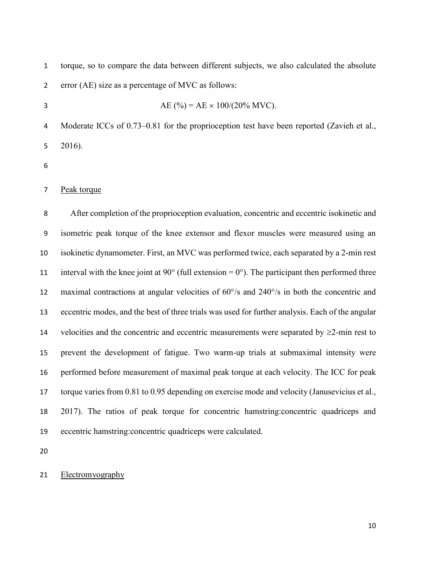torque, so to compare the data between different subjects, we also calculated the absolute error (AE) size as a percentage of MVC as follows: 3 AE (%) =  $AE \times 100/(20\% \text{ MVC})$ . Moderate ICCs of 0.73–0.81 for the proprioception test have been reported (Zavieh et al., 2016). Peak torque After completion of the proprioception evaluation, concentric and eccentric isokinetic and isometric peak torque of the knee extensor and flexor muscles were measured using an isokinetic dynamometer. First, an MVC was performed twice, each separated by a 2-min rest 11 interval with the knee joint at 90 $^{\circ}$  (full extension = 0 $^{\circ}$ ). The participant then performed three maximal contractions at angular velocities of 60°/s and 240°/s in both the concentric and eccentric modes, and the best of three trials was used for further analysis. Each of the angular 14 velocities and the concentric and eccentric measurements were separated by  $\geq$ 2-min rest to prevent the development of fatigue. Two warm-up trials at submaximal intensity were performed before measurement of maximal peak torque at each velocity. The ICC for peak torque varies from 0.81 to 0.95 depending on exercise mode and velocity (Janusevicius et al., 2017). The ratios of peak torque for concentric hamstring:concentric quadriceps and eccentric hamstring:concentric quadriceps were calculated.

## Electromyography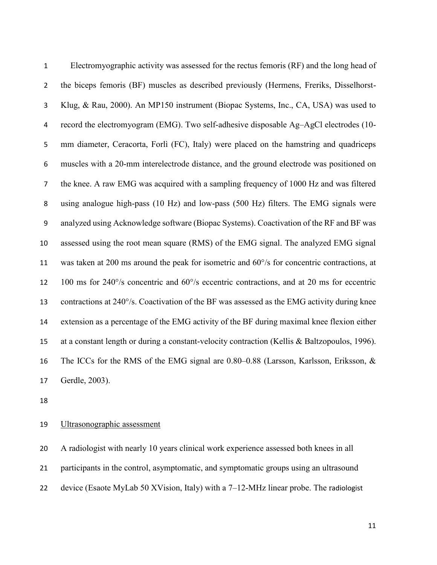Electromyographic activity was assessed for the rectus femoris (RF) and the long head of the biceps femoris (BF) muscles as described previously (Hermens, Freriks, Disselhorst- Klug, & Rau, 2000). An MP150 instrument (Biopac Systems, Inc., CA, USA) was used to record the electromyogram (EMG). Two self-adhesive disposable Ag–AgCl electrodes (10- mm diameter, Ceracorta, Forlì (FC), Italy) were placed on the hamstring and quadriceps muscles with a 20-mm interelectrode distance, and the ground electrode was positioned on the knee. A raw EMG was acquired with a sampling frequency of 1000 Hz and was filtered using analogue high-pass (10 Hz) and low-pass (500 Hz) filters. The EMG signals were analyzed using Acknowledge software (Biopac Systems). Coactivation of the RF and BF was assessed using the root mean square (RMS) of the EMG signal. The analyzed EMG signal was taken at 200 ms around the peak for isometric and 60°/s for concentric contractions, at 100 ms for 240°/s concentric and 60°/s eccentric contractions, and at 20 ms for eccentric contractions at 240°/s. Coactivation of the BF was assessed as the EMG activity during knee extension as a percentage of the EMG activity of the BF during maximal knee flexion either at a constant length or during a constant-velocity contraction (Kellis & Baltzopoulos, 1996). The ICCs for the RMS of the EMG signal are 0.80–0.88 (Larsson, Karlsson, Eriksson, & Gerdle, 2003).

## Ultrasonographic assessment

 A radiologist with nearly 10 years clinical work experience assessed both knees in all participants in the control, asymptomatic, and symptomatic groups using an ultrasound 22 device (Esaote MyLab 50 XVision, Italy) with a  $7-12-MHz$  linear probe. The radiologist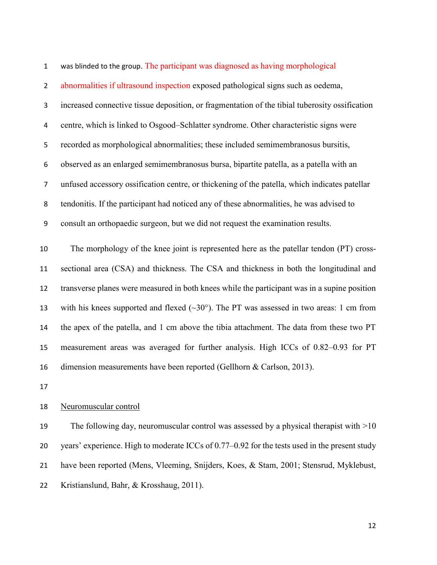abnormalities if ultrasound inspection exposed pathological signs such as oedema, increased connective tissue deposition, or fragmentation of the tibial tuberosity ossification centre, which is linked to Osgood–Schlatter syndrome. Other characteristic signs were recorded as morphological abnormalities; these included semimembranosus bursitis, observed as an enlarged semimembranosus bursa, bipartite patella, as a patella with an unfused accessory ossification centre, or thickening of the patella, which indicates patellar tendonitis. If the participant had noticed any of these abnormalities, he was advised to consult an orthopaedic surgeon, but we did not request the examination results.

was blinded to the group. The participant was diagnosed as having morphological

 The morphology of the knee joint is represented here as the patellar tendon (PT) cross- sectional area (CSA) and thickness. The CSA and thickness in both the longitudinal and transverse planes were measured in both knees while the participant was in a supine position 13 with his knees supported and flexed  $(\sim 30^{\circ})$ . The PT was assessed in two areas: 1 cm from the apex of the patella, and 1 cm above the tibia attachment. The data from these two PT measurement areas was averaged for further analysis. High ICCs of 0.82–0.93 for PT dimension measurements have been reported (Gellhorn & Carlson, 2013).

#### Neuromuscular control

19 The following day, neuromuscular control was assessed by a physical therapist with  $>10$ 20 years' experience. High to moderate ICCs of 0.77–0.92 for the tests used in the present study have been reported (Mens, Vleeming, Snijders, Koes, & Stam, 2001; Stensrud, Myklebust, Kristianslund, Bahr, & Krosshaug, 2011).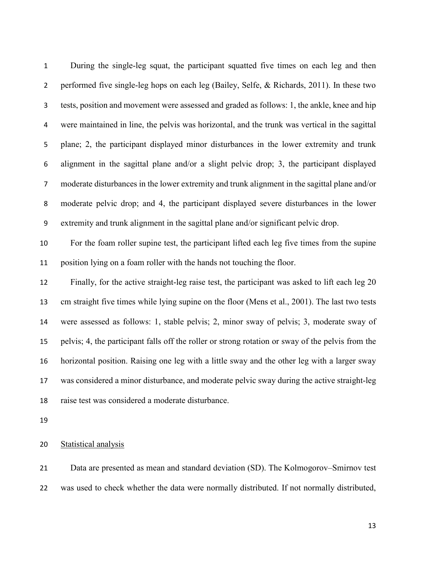During the single-leg squat, the participant squatted five times on each leg and then performed five single-leg hops on each leg (Bailey, Selfe, & Richards, 2011). In these two tests, position and movement were assessed and graded as follows: 1, the ankle, knee and hip were maintained in line, the pelvis was horizontal, and the trunk was vertical in the sagittal plane; 2, the participant displayed minor disturbances in the lower extremity and trunk alignment in the sagittal plane and/or a slight pelvic drop; 3, the participant displayed moderate disturbances in the lower extremity and trunk alignment in the sagittal plane and/or moderate pelvic drop; and 4, the participant displayed severe disturbances in the lower extremity and trunk alignment in the sagittal plane and/or significant pelvic drop.

 For the foam roller supine test, the participant lifted each leg five times from the supine position lying on a foam roller with the hands not touching the floor.

 Finally, for the active straight-leg raise test, the participant was asked to lift each leg 20 cm straight five times while lying supine on the floor (Mens et al., 2001). The last two tests were assessed as follows: 1, stable pelvis; 2, minor sway of pelvis; 3, moderate sway of pelvis; 4, the participant falls off the roller or strong rotation or sway of the pelvis from the horizontal position. Raising one leg with a little sway and the other leg with a larger sway was considered a minor disturbance, and moderate pelvic sway during the active straight-leg raise test was considered a moderate disturbance.

Statistical analysis

 Data are presented as mean and standard deviation (SD). The Kolmogorov–Smirnov test was used to check whether the data were normally distributed. If not normally distributed,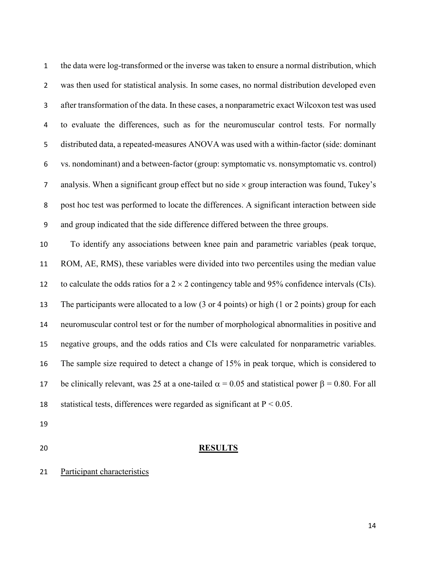the data were log-transformed or the inverse was taken to ensure a normal distribution, which was then used for statistical analysis. In some cases, no normal distribution developed even after transformation of the data. In these cases, a nonparametric exact Wilcoxon test was used to evaluate the differences, such as for the neuromuscular control tests. For normally distributed data, a repeated-measures ANOVA was used with a within-factor (side: dominant vs. nondominant) and a between-factor (group: symptomatic vs. nonsymptomatic vs. control) 7 analysis. When a significant group effect but no side  $\times$  group interaction was found, Tukey's post hoc test was performed to locate the differences. A significant interaction between side and group indicated that the side difference differed between the three groups.

 To identify any associations between knee pain and parametric variables (peak torque, ROM, AE, RMS), these variables were divided into two percentiles using the median value 12 to calculate the odds ratios for a  $2 \times 2$  contingency table and 95% confidence intervals (CIs). The participants were allocated to a low (3 or 4 points) or high (1 or 2 points) group for each neuromuscular control test or for the number of morphological abnormalities in positive and negative groups, and the odds ratios and CIs were calculated for nonparametric variables. The sample size required to detect a change of 15% in peak torque, which is considered to 17 be clinically relevant, was 25 at a one-tailed  $\alpha = 0.05$  and statistical power  $\beta = 0.80$ . For all 18 statistical tests, differences were regarded as significant at  $P < 0.05$ .

- 
- 

### **RESULTS**

Participant characteristics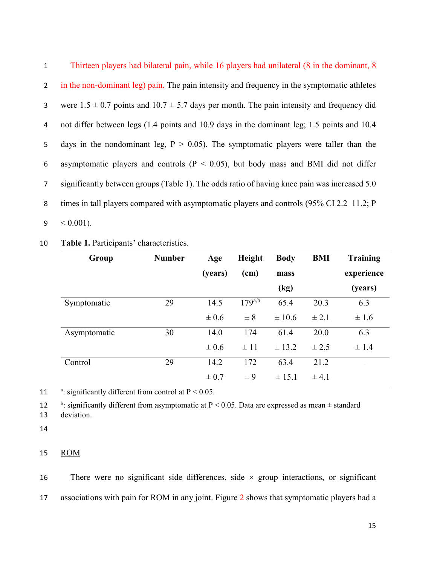| $\mathbf{1}$   | Thirteen players had bilateral pain, while 16 players had unilateral (8 in the dominant, 8        |
|----------------|---------------------------------------------------------------------------------------------------|
| $2^{\circ}$    | in the non-dominant leg) pain. The pain intensity and frequency in the symptomatic athletes       |
| 3 <sup>1</sup> | were $1.5 \pm 0.7$ points and $10.7 \pm 5.7$ days per month. The pain intensity and frequency did |
| 4              | not differ between legs (1.4 points and 10.9 days in the dominant leg; 1.5 points and 10.4        |
| 5 <sub>1</sub> | days in the nondominant leg, $P > 0.05$ ). The symptomatic players were taller than the           |
| 6              | asymptomatic players and controls ( $P < 0.05$ ), but body mass and BMI did not differ            |
| 7 <sup>1</sup> | significantly between groups (Table 1). The odds ratio of having knee pain was increased 5.0      |
| 8              | times in tall players compared with asymptomatic players and controls (95% CI 2.2–11.2; P         |
| 9              | $0.001$ ).                                                                                        |

10 **Table 1.** Participants' characteristics.

| Group        | <b>Number</b> | Age       | Height      | <b>Body</b> | <b>BMI</b> | <b>Training</b> |
|--------------|---------------|-----------|-------------|-------------|------------|-----------------|
|              |               | (years)   | (cm)        | mass        |            | experience      |
|              |               |           |             | (kg)        |            | (years)         |
| Symptomatic  | 29            | 14.5      | $179^{a,b}$ | 65.4        | 20.3       | 6.3             |
|              |               | $\pm 0.6$ | $\pm 8$     | $\pm 10.6$  | $\pm 2.1$  | $\pm 1.6$       |
| Asymptomatic | 30            | 14.0      | 174         | 61.4        | 20.0       | 6.3             |
|              |               | $\pm 0.6$ | $\pm$ 11    | $\pm$ 13.2  | $\pm 2.5$  | $\pm$ 1.4       |
| Control      | 29            | 14.2      | 172         | 63.4        | 21.2       |                 |
|              |               | $\pm 0.7$ | $\pm 9$     | ± 15.1      | $\pm$ 4.1  |                 |

11  $\frac{a}{x}$ : significantly different from control at P < 0.05.

12  $\cdot$  b: significantly different from asymptomatic at P < 0.05. Data are expressed as mean  $\pm$  standard

13 deviation.

14

# 15 ROM

16 There were no significant side differences, side  $\times$  group interactions, or significant 17 associations with pain for ROM in any joint. Figure 2 shows that symptomatic players had a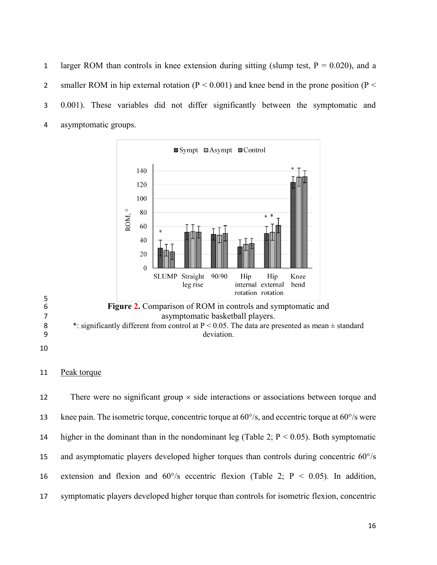1 larger ROM than controls in knee extension during sitting (slump test,  $P = 0.020$ ), and a 2 smaller ROM in hip external rotation ( $P < 0.001$ ) and knee bend in the prone position ( $P <$  0.001). These variables did not differ significantly between the symptomatic and asymptomatic groups.



## 11 Peak torque

12 There were no significant group  $\times$  side interactions or associations between torque and 13 knee pain. The isometric torque, concentric torque at  $60^{\circ}/s$ , and eccentric torque at  $60^{\circ}/s$  were 14 higher in the dominant than in the nondominant leg (Table 2;  $P < 0.05$ ). Both symptomatic and asymptomatic players developed higher torques than controls during concentric 60°/s 16 extension and flexion and  $60^{\circ}/s$  eccentric flexion (Table 2; P < 0.05). In addition, symptomatic players developed higher torque than controls for isometric flexion, concentric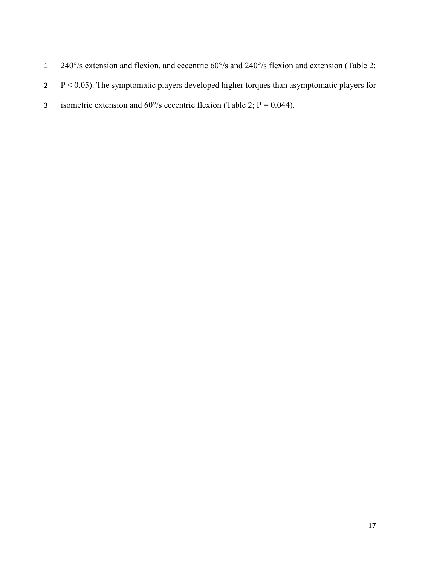- 1 240°/s extension and flexion, and eccentric 60°/s and 240°/s flexion and extension (Table 2;
- 2 P < 0.05). The symptomatic players developed higher torques than asymptomatic players for
- 3 isometric extension and  $60^{\circ}/s$  eccentric flexion (Table 2; P = 0.044).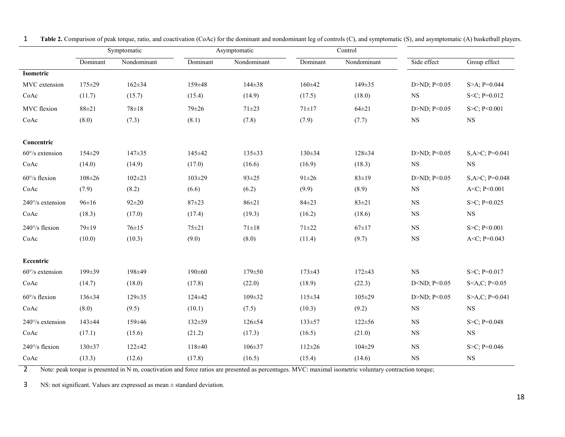|                           | Symptomatic  |              | Asymptomatic |              | Control      |              |                                 |                               |
|---------------------------|--------------|--------------|--------------|--------------|--------------|--------------|---------------------------------|-------------------------------|
|                           | Dominant     | Nondominant  | Dominant     | Nondominant  | Dominant     | Nondominant  | Side effect                     | Group effect                  |
| Isometric                 |              |              |              |              |              |              |                                 |                               |
| MVC extension             | 175±29       | $162 \pm 34$ | 159±48       | $144 \pm 38$ | $160 \pm 42$ | $149 \pm 35$ | D $>ND$ ; P $< 0.05$            | S>A; $P=0.044$                |
| CoAc                      | (11.7)       | (15.7)       | (15.4)       | (14.9)       | (17.5)       | (18.0)       | <b>NS</b>                       | $S < C$ ; P=0.012             |
| MVC flexion               | $88 + 21$    | $78 \pm 18$  | $79 + 26$    | $71 + 23$    | $71 \pm 17$  | $64 \pm 21$  | D>ND; P<0.05                    | S>C; P<0.001                  |
| CoAc                      | (8.0)        | (7.3)        | (8.1)        | (7.8)        | (7.9)        | (7.7)        | $_{\rm NS}$                     | $_{\rm NS}$                   |
|                           |              |              |              |              |              |              |                                 |                               |
| Concentric                |              |              |              |              |              |              |                                 |                               |
| $60^{\circ}/s$ extension  | 154±29       | $147 + 35$   | 145±42       | $135 \pm 33$ | $130 \pm 34$ | $128 + 34$   | D>ND; P<0.05                    | $S, A > C$ ; P=0.041          |
| CoAc                      | (14.0)       | (14.9)       | (17.0)       | (16.6)       | (16.9)       | (18.3)       | <b>NS</b>                       | <b>NS</b>                     |
| $60^{\circ}/s$ flexion    | $108 + 26$   | $102 \pm 23$ | $103 \pm 29$ | $93 \pm 25$  | $91 \pm 26$  | $83 \pm 19$  | D>ND; P<0.05                    | $S, A > C$ ; P=0.048          |
| CoAc                      | (7.9)        | (8.2)        | (6.6)        | (6.2)        | (9.9)        | (8.9)        | $_{\rm NS}$                     | A <c; p<0.001<="" td=""></c;> |
| $240^{\circ}/s$ extension | $96 \pm 16$  | $92 + 20$    | $87 + 23$    | $86 \pm 21$  | $84 + 23$    | $83 \pm 21$  | <b>NS</b>                       | $S > C$ ; P=0.025             |
| CoAc                      | (18.3)       | (17.0)       | (17.4)       | (19.3)       | (16.2)       | (18.6)       | $_{\rm NS}$                     | $_{\rm NS}$                   |
| 240°/s flexion            | 79±19        | $76 \pm 15$  | $75 + 21$    | $71 \pm 18$  | $71 + 22$    | $67+17$      | <b>NS</b>                       | S>C; P<0.001                  |
| CoAc                      | (10.0)       | (10.3)       | (9.0)        | (8.0)        | (11.4)       | (9.7)        | $_{\rm NS}$                     | A <c; <math="">P=0.043</c;>   |
|                           |              |              |              |              |              |              |                                 |                               |
| Eccentric                 |              |              |              |              |              |              |                                 |                               |
| $60^{\circ}/s$ extension  | 199±39       | 198±49       | $190 \pm 60$ | $179 \pm 50$ | $173 \pm 43$ | $172 + 43$   | <b>NS</b>                       | S $>C$ ; P=0.017              |
| CoAc                      | (14.7)       | (18.0)       | (17.8)       | (22.0)       | (18.9)       | (22.3)       | D <nd; <math="">P&lt;0.05</nd;> | $S < A, C$ ; $P < 0.05$       |
| $60^{\circ}/s$ flexion    | 136±34       | 129±35       | 124±42       | $109 \pm 32$ | $115 \pm 34$ | $105 \pm 29$ | D>ND; P<0.05                    | $S > A, C; P = 0.041$         |
| CoAc                      | (8.0)        | (9.5)        | (10.1)       | (7.5)        | (10.3)       | (9.2)        | <b>NS</b>                       | $_{\rm NS}$                   |
| $240^{\circ}/s$ extension | 143±44       | 159±46       | 132±59       | $126 \pm 54$ | $133 \pm 57$ | $122 \pm 56$ | $_{\rm NS}$                     | $S > C$ ; P=0.048             |
| CoAc                      | (17.1)       | (15.6)       | (21.2)       | (17.3)       | (16.5)       | (21.0)       | $_{\rm NS}$                     | $_{\rm NS}$                   |
| $240^{\circ}/s$ flexion   | $130 \pm 37$ | $122 + 42$   | $118 + 40$   | $106 \pm 37$ | $112 \pm 26$ | $104 \pm 29$ | $_{\rm NS}$                     | S $>C$ ; P=0.046              |
| CoAc                      | (13.3)       | (12.6)       | (17.8)       | (16.5)       | (15.4)       | (14.6)       | $_{\rm NS}$                     | $_{\rm NS}$                   |

1 **Table 2.** Comparison of peak torque, ratio, and coactivation (CoAc) for the dominant and nondominant leg of controls (C), and symptomatic (S), and asymptomatic (A) basketball players.

2 Note: peak torque is presented in N m, coactivation and force ratios are presented as percentages. MVC: maximal isometric voluntary contraction torque;

3 NS: not significant. Values are expressed as mean ± standard deviation.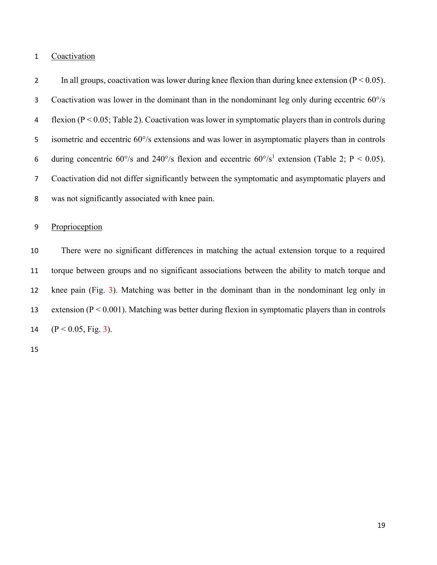# Coactivation

2 In all groups, coactivation was lower during knee flexion than during knee extension ( $P < 0.05$ ). Coactivation was lower in the dominant than in the nondominant leg only during eccentric 60°/s flexion (P < 0.05; Table 2). Coactivation was lower in symptomatic players than in controls during isometric and eccentric 60°/s extensions and was lower in asymptomatic players than in controls 6 during concentric  $60^{\circ}/s$  and  $240^{\circ}/s$  flexion and eccentric  $60^{\circ}/s^1$  extension (Table 2; P < 0.05). Coactivation did not differ significantly between the symptomatic and asymptomatic players and was not significantly associated with knee pain.

# Proprioception

 There were no significant differences in matching the actual extension torque to a required torque between groups and no significant associations between the ability to match torque and knee pain (Fig. 3). Matching was better in the dominant than in the nondominant leg only in 13 extension ( $P < 0.001$ ). Matching was better during flexion in symptomatic players than in controls  $(P < 0.05, Fig. 3)$ .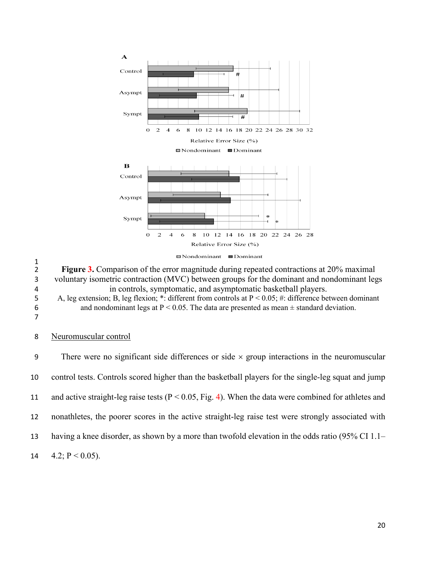

 $\frac{1}{2}$ Figure 3. Comparison of the error magnitude during repeated contractions at 20% maximal 3 voluntary isometric contraction (MVC) between groups for the dominant and nondominant legs 4 in controls, symptomatic, and asymptomatic basketball players. 5 A, leg extension; B, leg flexion; \*: different from controls at  $P < 0.05$ ; #: difference between dominant and nondominant legs at  $P < 0.05$ . The data are presented as mean  $\pm$  standard deviation. and nondominant legs at  $P < 0.05$ . The data are presented as mean  $\pm$  standard deviation.

7

## 8 Neuromuscular control

9 There were no significant side differences or side  $\times$  group interactions in the neuromuscular control tests. Controls scored higher than the basketball players for the single-leg squat and jump and active straight-leg raise tests (P < 0.05, Fig. 4). When the data were combined for athletes and nonathletes, the poorer scores in the active straight-leg raise test were strongly associated with having a knee disorder, as shown by a more than twofold elevation in the odds ratio (95% CI 1.1–  $4.2$ ; P < 0.05).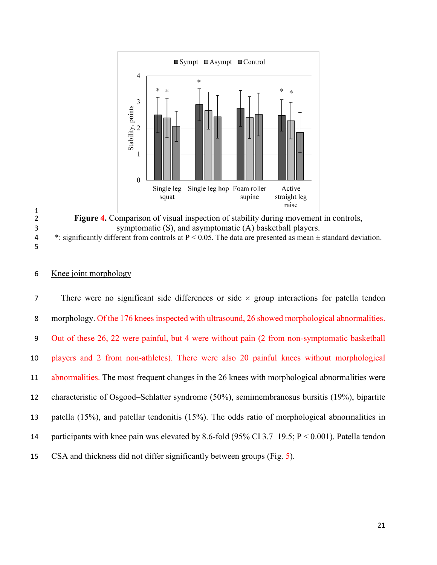

 $\frac{1}{2}$ **Figure 4.** Comparison of visual inspection of stability during movement in controls, symptomatic (S), and asymptomatic (A) basketball players. 4 \*: significantly different from controls at  $P < 0.05$ . The data are presented as mean  $\pm$  standard deviation. 

## Knee joint morphology

7 There were no significant side differences or side  $\times$  group interactions for patella tendon morphology. Of the 176 knees inspected with ultrasound, 26 showed morphological abnormalities. Out of these 26, 22 were painful, but 4 were without pain (2 from non-symptomatic basketball players and 2 from non-athletes). There were also 20 painful knees without morphological abnormalities. The most frequent changes in the 26 knees with morphological abnormalities were characteristic of Osgood–Schlatter syndrome (50%), semimembranosus bursitis (19%), bipartite patella (15%), and patellar tendonitis (15%). The odds ratio of morphological abnormalities in participants with knee pain was elevated by 8.6-fold (95% CI 3.7–19.5; P < 0.001). Patella tendon CSA and thickness did not differ significantly between groups (Fig. 5).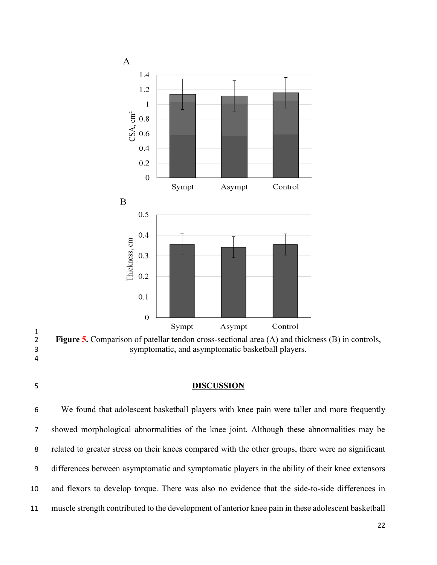

 $\frac{1}{2}$ Figure 5. Comparison of patellar tendon cross-sectional area (A) and thickness (B) in controls, symptomatic, and asymptomatic basketball players. 

# **DISCUSSION**

 We found that adolescent basketball players with knee pain were taller and more frequently showed morphological abnormalities of the knee joint. Although these abnormalities may be related to greater stress on their knees compared with the other groups, there were no significant differences between asymptomatic and symptomatic players in the ability of their knee extensors and flexors to develop torque. There was also no evidence that the side-to-side differences in muscle strength contributed to the development of anterior knee pain in these adolescent basketball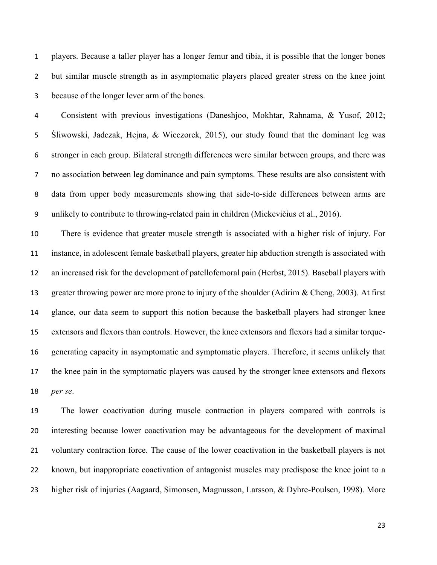players. Because a taller player has a longer femur and tibia, it is possible that the longer bones but similar muscle strength as in asymptomatic players placed greater stress on the knee joint because of the longer lever arm of the bones.

 Consistent with previous investigations (Daneshjoo, Mokhtar, Rahnama, & Yusof, 2012; Śliwowski, Jadczak, Hejna, & Wieczorek, 2015), our study found that the dominant leg was stronger in each group. Bilateral strength differences were similar between groups, and there was no association between leg dominance and pain symptoms. These results are also consistent with data from upper body measurements showing that side-to-side differences between arms are unlikely to contribute to throwing-related pain in children (Mickevičius et al., 2016).

 There is evidence that greater muscle strength is associated with a higher risk of injury. For instance, in adolescent female basketball players, greater hip abduction strength is associated with an increased risk for the development of patellofemoral pain (Herbst, 2015). Baseball players with 13 greater throwing power are more prone to injury of the shoulder (Adirim & Cheng, 2003). At first glance, our data seem to support this notion because the basketball players had stronger knee extensors and flexors than controls. However, the knee extensors and flexors had a similar torque- generating capacity in asymptomatic and symptomatic players. Therefore, it seems unlikely that the knee pain in the symptomatic players was caused by the stronger knee extensors and flexors *per se*.

 The lower coactivation during muscle contraction in players compared with controls is interesting because lower coactivation may be advantageous for the development of maximal voluntary contraction force. The cause of the lower coactivation in the basketball players is not known, but inappropriate coactivation of antagonist muscles may predispose the knee joint to a higher risk of injuries (Aagaard, Simonsen, Magnusson, Larsson, & Dyhre-Poulsen, 1998). More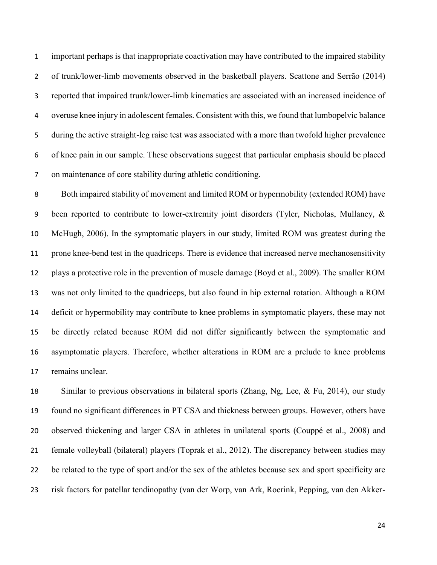important perhaps is that inappropriate coactivation may have contributed to the impaired stability of trunk/lower-limb movements observed in the basketball players. Scattone and [Serrão](http://www.ncbi.nlm.nih.gov/pubmed/?term=Serr%C3%A3o%20FV%5BAuthor%5D&cauthor=true&cauthor_uid=25190109) (2014) reported that impaired trunk/lower-limb kinematics are associated with an increased incidence of overuse knee injury in adolescent females. Consistent with this, we found that lumbopelvic balance during the active straight-leg raise test was associated with a more than twofold higher prevalence of knee pain in our sample. These observations suggest that particular emphasis should be placed on maintenance of core stability during athletic conditioning.

 Both impaired stability of movement and limited ROM or hypermobility (extended ROM) have been reported to contribute to lower-extremity joint disorders (Tyler, Nicholas, Mullaney, & McHugh, 2006). In the symptomatic players in our study, limited ROM was greatest during the prone knee-bend test in the quadriceps. There is evidence that increased nerve mechanosensitivity plays a protective role in the prevention of muscle damage (Boyd et al., 2009). The smaller ROM was not only limited to the quadriceps, but also found in hip external rotation. Although a ROM deficit or hypermobility may contribute to knee problems in symptomatic players, these may not be directly related because ROM did not differ significantly between the symptomatic and asymptomatic players. Therefore, whether alterations in ROM are a prelude to knee problems remains unclear.

18 Similar to previous observations in bilateral sports (Zhang, Ng, Lee, & Fu, 2014), our study found no significant differences in PT CSA and thickness between groups. However, others have observed thickening and larger CSA in athletes in unilateral sports (Couppé et al., 2008) and female volleyball (bilateral) players (Toprak et al., 2012). The discrepancy between studies may be related to the type of sport and/or the sex of the athletes because sex and sport specificity are risk factors for patellar tendinopathy (van der Worp, van Ark, Roerink, Pepping, van den Akker-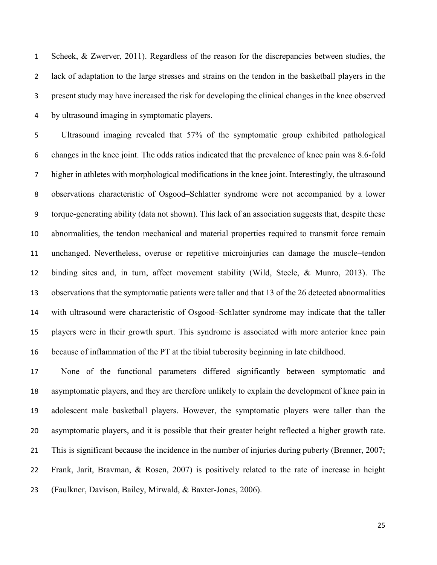Scheek, & Zwerver, 2011). Regardless of the reason for the discrepancies between studies, the lack of adaptation to the large stresses and strains on the tendon in the basketball players in the present study may have increased the risk for developing the clinical changes in the knee observed by ultrasound imaging in symptomatic players.

 Ultrasound imaging revealed that 57% of the symptomatic group exhibited pathological changes in the knee joint. The odds ratios indicated that the prevalence of knee pain was 8.6-fold higher in athletes with morphological modifications in the knee joint. Interestingly, the ultrasound observations characteristic of Osgood–Schlatter syndrome were not accompanied by a lower torque-generating ability (data not shown). This lack of an association suggests that, despite these abnormalities, the tendon mechanical and material properties required to transmit force remain unchanged. Nevertheless, overuse or repetitive microinjuries can damage the muscle–tendon binding sites and, in turn, affect movement stability (Wild, Steele, & Munro, 2013). The observations that the symptomatic patients were taller and that 13 of the 26 detected abnormalities with ultrasound were characteristic of Osgood–Schlatter syndrome may indicate that the taller players were in their growth spurt. This syndrome is associated with more anterior knee pain because of inflammation of the PT at the tibial tuberosity beginning in late childhood.

 None of the functional parameters differed significantly between symptomatic and asymptomatic players, and they are therefore unlikely to explain the development of knee pain in adolescent male basketball players. However, the symptomatic players were taller than the asymptomatic players, and it is possible that their greater height reflected a higher growth rate. This is significant because the incidence in the number of injuries during puberty (Brenner, 2007; Frank, Jarit, Bravman, & Rosen, 2007) is positively related to the rate of increase in height (Faulkner, Davison, Bailey, Mirwald, & Baxter-Jones, 2006).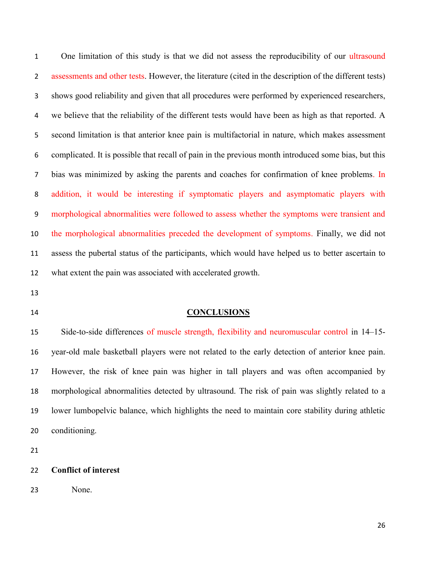1 One limitation of this study is that we did not assess the reproducibility of our ultrasound assessments and other tests. However, the literature (cited in the description of the different tests) shows good reliability and given that all procedures were performed by experienced researchers, we believe that the reliability of the different tests would have been as high as that reported. A second limitation is that anterior knee pain is multifactorial in nature, which makes assessment complicated. It is possible that recall of pain in the previous month introduced some bias, but this bias was minimized by asking the parents and coaches for confirmation of knee problems. In addition, it would be interesting if symptomatic players and asymptomatic players with morphological abnormalities were followed to assess whether the symptoms were transient and the morphological abnormalities preceded the development of symptoms. Finally, we did not assess the pubertal status of the participants, which would have helped us to better ascertain to what extent the pain was associated with accelerated growth.

#### **CONCLUSIONS**

 Side-to-side differences of muscle strength, flexibility and neuromuscular control in 14–15- year-old male basketball players were not related to the early detection of anterior knee pain. However, the risk of knee pain was higher in tall players and was often accompanied by morphological abnormalities detected by ultrasound. The risk of pain was slightly related to a lower lumbopelvic balance, which highlights the need to maintain core stability during athletic conditioning.

**Conflict of interest**

None.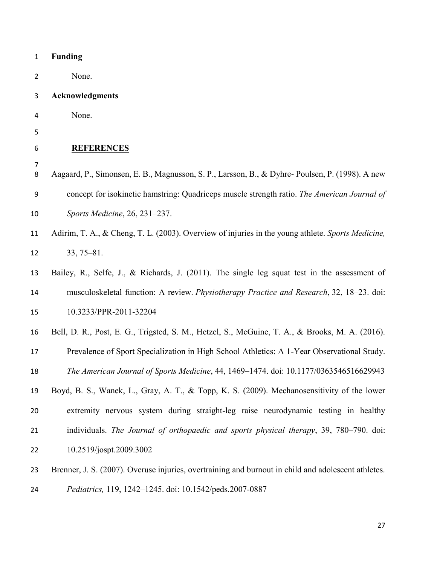| $\mathbf 1$    | <b>Funding</b>                                                                                      |
|----------------|-----------------------------------------------------------------------------------------------------|
| $\overline{2}$ | None.                                                                                               |
| 3              | <b>Acknowledgments</b>                                                                              |
| 4              | None.                                                                                               |
| 5              |                                                                                                     |
| 6              | <b>REFERENCES</b>                                                                                   |
| 7<br>8         | Aagaard, P., Simonsen, E. B., Magnusson, S. P., Larsson, B., & Dyhre-Poulsen, P. (1998). A new      |
| 9              | concept for isokinetic hamstring: Quadriceps muscle strength ratio. The American Journal of         |
| 10             | Sports Medicine, 26, 231-237.                                                                       |
| 11             | Adirim, T. A., & Cheng, T. L. (2003). Overview of injuries in the young athlete. Sports Medicine,   |
| 12             | $33, 75 - 81.$                                                                                      |
| 13             | Bailey, R., Selfe, J., & Richards, J. (2011). The single leg squat test in the assessment of        |
| 14             | musculoskeletal function: A review. Physiotherapy Practice and Research, 32, 18–23. doi:            |
| 15             | 10.3233/PPR-2011-32204                                                                              |
| 16             | Bell, D. R., Post, E. G., Trigsted, S. M., Hetzel, S., McGuine, T. A., & Brooks, M. A. (2016).      |
| 17             | Prevalence of Sport Specialization in High School Athletics: A 1-Year Observational Study.          |
| 18             | The American Journal of Sports Medicine, 44, 1469-1474. doi: 10.1177/0363546516629943               |
| 19             | Boyd, B. S., Wanek, L., Gray, A. T., & Topp, K. S. (2009). Mechanosensitivity of the lower          |
| 20             | extremity nervous system during straight-leg raise neurodynamic testing in healthy                  |
| 21             | individuals. The Journal of orthopaedic and sports physical therapy, 39, 780–790. doi:              |
| 22             | 10.2519/jospt.2009.3002                                                                             |
| 23             | Brenner, J. S. (2007). Overuse injuries, overtraining and burnout in child and adolescent athletes. |
| 24             | Pediatrics, 119, 1242-1245. doi: 10.1542/peds.2007-0887                                             |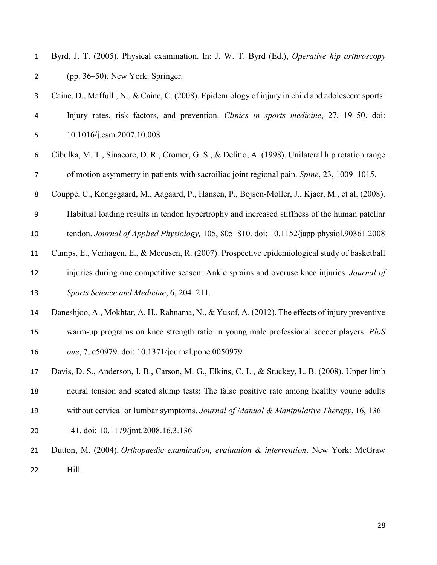| Byrd, J. T. (2005). Physical examination. In: J. W. T. Byrd (Ed.), Operative hip arthroscopy |
|----------------------------------------------------------------------------------------------|
| $(pp. 36-50)$ . New York: Springer.                                                          |

- Caine, D., Maffulli, N., & Caine, C. (2008). Epidemiology of injury in child and adolescent sports: Injury rates, risk factors, and prevention. *Clinics in sports medicine*, 27, 19–50. doi: 10.1016/j.csm.2007.10.008
- Cibulka, M. T., Sinacore, D. R., Cromer, G. S., & Delitto, A. (1998). Unilateral hip rotation range of motion asymmetry in patients with sacroiliac joint regional pain. *Spine*, 23, 1009–1015.
- Couppé, C., Kongsgaard, M., Aagaard, P., Hansen, P., Bojsen-Moller, J., Kjaer, M., et al. (2008).
- Habitual loading results in tendon hypertrophy and increased stiffness of the human patellar
- tendon. *Journal of Applied Physiology,* 105, 805–810. doi: 10.1152/japplphysiol.90361.2008
- Cumps, E., Verhagen, E., & Meeusen, R. (2007). Prospective epidemiological study of basketball
- injuries during one competitive season: Ankle sprains and overuse knee injuries. *Journal of Sports Science and Medicine*, 6, 204–211.
- Daneshjoo, A., Mokhtar, A. H., Rahnama, N., & Yusof, A. (2012). The effects of injury preventive warm-up programs on knee strength ratio in young male professional soccer players. *PloS one*, 7, e50979. doi: 10.1371/journal.pone.0050979
- Davis, D. S., Anderson, I. B., Carson, M. G., Elkins, C. L., & Stuckey, L. B. (2008). Upper limb neural tension and seated slump tests: The false positive rate among healthy young adults without cervical or lumbar symptoms. *Journal of Manual & Manipulative Therapy*, 16, 136–
- 141. doi: 10.1179/jmt.2008.16.3.136
- Dutton, M. (2004). *Orthopaedic examination, evaluation & intervention*. New York: McGraw Hill.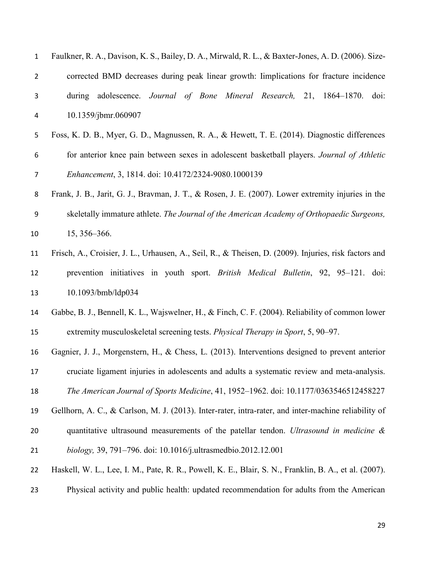| $\mathbf{1}$   | Faulkner, R. A., Davison, K. S., Bailey, D. A., Mirwald, R. L., & Baxter-Jones, A. D. (2006). Size-   |
|----------------|-------------------------------------------------------------------------------------------------------|
| $\overline{2}$ | corrected BMD decreases during peak linear growth: limplications for fracture incidence               |
| 3              | during adolescence. Journal of Bone Mineral Research, 21, 1864–1870. doi:                             |
| 4              | 10.1359/jbmr.060907                                                                                   |
| 5              | Foss, K. D. B., Myer, G. D., Magnussen, R. A., & Hewett, T. E. (2014). Diagnostic differences         |
| 6              | for anterior knee pain between sexes in adolescent basketball players. Journal of Athletic            |
| 7              | Enhancement, 3, 1814. doi: 10.4172/2324-9080.1000139                                                  |
| 8              | Frank, J. B., Jarit, G. J., Bravman, J. T., & Rosen, J. E. (2007). Lower extremity injuries in the    |
| 9              | skeletally immature athlete. The Journal of the American Academy of Orthopaedic Surgeons,             |
| 10             | 15, 356-366.                                                                                          |
| 11             | Frisch, A., Croisier, J. L., Urhausen, A., Seil, R., & Theisen, D. (2009). Injuries, risk factors and |
| 12             | prevention initiatives in youth sport. British Medical Bulletin, 92, 95–121. doi:                     |
| 13             | 10.1093/bmb/ldp034                                                                                    |
| 14             | Gabbe, B. J., Bennell, K. L., Wajswelner, H., & Finch, C. F. (2004). Reliability of common lower      |
| 15             | extremity musculoskeletal screening tests. Physical Therapy in Sport, 5, 90–97.                       |
| 16             | Gagnier, J. J., Morgenstern, H., & Chess, L. (2013). Interventions designed to prevent anterior       |
| 17             | cruciate ligament injuries in adolescents and adults a systematic review and meta-analysis.           |
| 18             | The American Journal of Sports Medicine, 41, 1952-1962. doi: 10.1177/0363546512458227                 |
| 19             | Gellhorn, A. C., & Carlson, M. J. (2013). Inter-rater, intra-rater, and inter-machine reliability of  |
| 20             | quantitative ultrasound measurements of the patellar tendon. Ultrasound in medicine &                 |
| 21             | biology, 39, 791-796. doi: 10.1016/j.ultrasmedbio.2012.12.001                                         |
| 22             | Haskell, W. L., Lee, I. M., Pate, R. R., Powell, K. E., Blair, S. N., Franklin, B. A., et al. (2007). |
|                |                                                                                                       |

Physical activity and public health: updated recommendation for adults from the American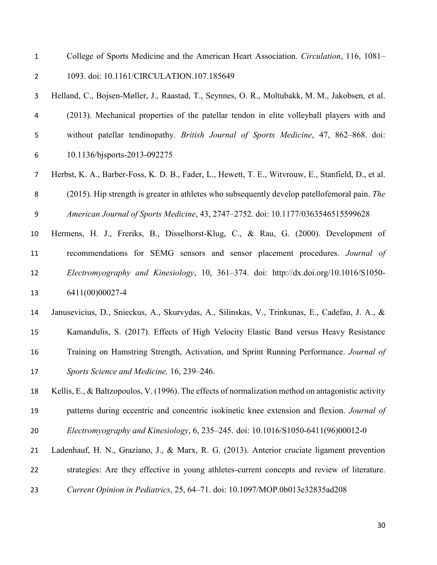- College of Sports Medicine and the American Heart Association. *Circulation*, 116, 1081– 1093. doi: 10.1161/CIRCULATION.107.185649
- Helland, C., Bojsen-Møller, J., Raastad, T., Seynnes, O. R., Moltubakk, M. M., Jakobsen, et al. (2013). Mechanical properties of the patellar tendon in elite volleyball players with and without patellar tendinopathy. *British Journal of Sports Medicine*, 47, 862–868. doi: 10.1136/bjsports-2013-092275
- Herbst, K. A., Barber-Foss, K. D. B., Fader, L., Hewett, T. E., Witvrouw, E., Stanfield, D., et al. (2015). Hip strength is greater in athletes who subsequently develop patellofemoral pain. *The American Journal of Sports Medicine*, 43, 2747–2752. doi: 10.1177/0363546515599628
- Hermens, H. J., Freriks, B., Disselhorst-Klug, C., & Rau, G. (2000). Development of recommendations for SEMG sensors and sensor placement procedures. *Journal of Electromyography and Kinesiology*, 10, 361–374. doi: http://dx.doi.org/10.1016/S1050- 6411(00)00027-4
- Janusevicius, D., Snieckus, A., Skurvydas, A., Silinskas, V., Trinkunas, E., Cadefau, J. A., & Kamandulis, S. (2017). Effects of High Velocity Elastic Band versus Heavy Resistance Training on Hamstring Strength, Activation, and Sprint Running Performance. *Journal of Sports Science and Medicine,* 16, 239–246.
- Kellis, E., & Baltzopoulos, V. (1996). The effects of normalization method on antagonistic activity patterns during eccentric and concentric isokinetic knee extension and flexion. *Journal of Electromyography and Kinesiology*, 6, 235–245. doi: 10.1016/S1050-6411(96)00012-0
- Ladenhauf, H. N., Graziano, J., & Marx, R. G. (2013). Anterior cruciate ligament prevention

strategies: Are they effective in young athletes-current concepts and review of literature.

*Current Opinion in Pediatrics*, 25, 64–71. doi: 10.1097/MOP.0b013e32835ad208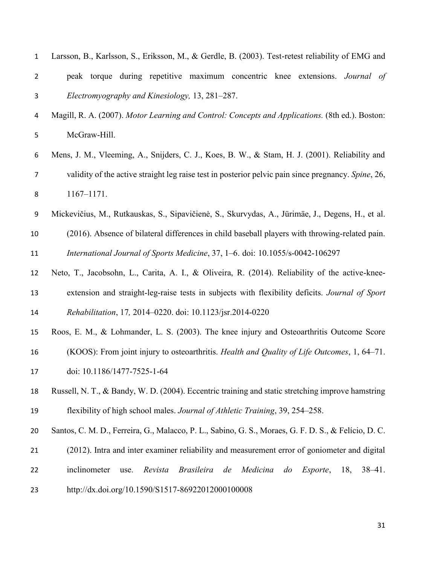| $\mathbf 1$    | Larsson, B., Karlsson, S., Eriksson, M., & Gerdle, B. (2003). Test-retest reliability of EMG and                           |
|----------------|----------------------------------------------------------------------------------------------------------------------------|
| $\overline{2}$ | peak torque during repetitive maximum concentric knee extensions. Journal of                                               |
| 3              | Electromyography and Kinesiology, 13, 281–287.                                                                             |
| 4              | Magill, R. A. (2007). Motor Learning and Control: Concepts and Applications. (8th ed.). Boston:                            |
| 5              | McGraw-Hill.                                                                                                               |
| 6              | Mens, J. M., Vleeming, A., Snijders, C. J., Koes, B. W., & Stam, H. J. (2001). Reliability and                             |
| $\overline{7}$ | validity of the active straight leg raise test in posterior pelvic pain since pregnancy. Spine, 26,                        |
| 8              | $1167 - 1171.$                                                                                                             |
| 9              | Mickevičius, M., Rutkauskas, S., Sipavičienė, S., Skurvydas, A., Jürimäe, J., Degens, H., et al.                           |
| 10             | (2016). Absence of bilateral differences in child baseball players with throwing-related pain.                             |
| 11             | International Journal of Sports Medicine, 37, 1-6. doi: 10.1055/s-0042-106297                                              |
| 12             | Neto, T., Jacobsohn, L., Carita, A. I., & Oliveira, R. (2014). Reliability of the active-knee-                             |
| 13             | extension and straight-leg-raise tests in subjects with flexibility deficits. Journal of Sport                             |
| 14             | Rehabilitation, 17, 2014–0220. doi: 10.1123/jsr.2014-0220                                                                  |
| 15             | Roos, E. M., & Lohmander, L. S. (2003). The knee injury and Osteoarthritis Outcome Score                                   |
| 16             | (KOOS): From joint injury to osteoarthritis. Health and Quality of Life Outcomes, 1, 64-71.                                |
| 17             | doi: 10.1186/1477-7525-1-64                                                                                                |
| 18             | Russell, N. T., & Bandy, W. D. (2004). Eccentric training and static stretching improve hamstring                          |
| 19             | flexibility of high school males. Journal of Athletic Training, 39, 254–258.                                               |
| 20             | Santos, C. M. D., Ferreira, G., Malacco, P. L., Sabino, G. S., Moraes, G. F. D. S., & Felício, D. C.                       |
| 21             | (2012). Intra and inter examiner reliability and measurement error of goniometer and digital                               |
| 22             | inclinometer<br><b>Brasileira</b><br>Medicina<br>Revista<br>de<br>$d\sigma$<br><i>Esporte</i> , 18,<br>$38 - 41$ .<br>use. |
| 23             | http://dx.doi.org/10.1590/S1517-86922012000100008                                                                          |
|                |                                                                                                                            |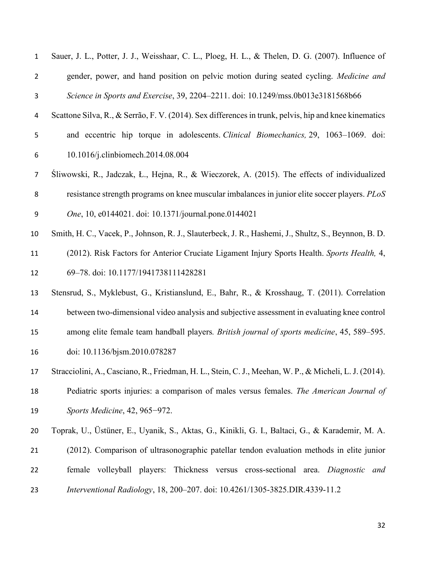| $\mathbf 1$    | Sauer, J. L., Potter, J. J., Weisshaar, C. L., Ploeg, H. L., & Thelen, D. G. (2007). Influence of      |
|----------------|--------------------------------------------------------------------------------------------------------|
| $\overline{2}$ | gender, power, and hand position on pelvic motion during seated cycling. Medicine and                  |
| 3              | Science in Sports and Exercise, 39, 2204-2211. doi: 10.1249/mss.0b013e3181568b66                       |
| 4              | Scattone Silva, R., & Serrão, F. V. (2014). Sex differences in trunk, pelvis, hip and knee kinematics  |
| 5              | and eccentric hip torque in adolescents. Clinical Biomechanics, 29, 1063–1069. doi:                    |
| 6              | 10.1016/j.clinbiomech.2014.08.004                                                                      |
| $\overline{7}$ | Sliwowski, R., Jadczak, Ł., Hejna, R., & Wieczorek, A. (2015). The effects of individualized           |
| 8              | resistance strength programs on knee muscular imbalances in junior elite soccer players. PLoS          |
| 9              | One, 10, e0144021. doi: 10.1371/journal.pone.0144021                                                   |
| 10             | Smith, H. C., Vacek, P., Johnson, R. J., Slauterbeck, J. R., Hashemi, J., Shultz, S., Beynnon, B. D.   |
| 11             | (2012). Risk Factors for Anterior Cruciate Ligament Injury Sports Health. Sports Health, 4,            |
| 12             | 69-78. doi: 10.1177/1941738111428281                                                                   |
| 13             | Stensrud, S., Myklebust, G., Kristianslund, E., Bahr, R., & Krosshaug, T. (2011). Correlation          |
| 14             | between two-dimensional video analysis and subjective assessment in evaluating knee control            |
| 15             | among elite female team handball players. British journal of sports medicine, 45, 589–595.             |
| 16             | doi: 10.1136/bjsm.2010.078287                                                                          |
| 17             | Stracciolini, A., Casciano, R., Friedman, H. L., Stein, C. J., Meehan, W. P., & Micheli, L. J. (2014). |
| 18             | Pediatric sports injuries: a comparison of males versus females. The American Journal of               |
| 19             | Sports Medicine, 42, 965-972.                                                                          |
| 20             | Toprak, U., Üstüner, E., Uyanik, S., Aktas, G., Kinikli, G. I., Baltaci, G., & Karademir, M. A.        |
| 21             | (2012). Comparison of ultrasonographic patellar tendon evaluation methods in elite junior              |
| 22             | female volleyball players: Thickness versus cross-sectional area. Diagnostic<br>and                    |
| 23             | Interventional Radiology, 18, 200-207. doi: 10.4261/1305-3825.DIR.4339-11.2                            |
|                |                                                                                                        |